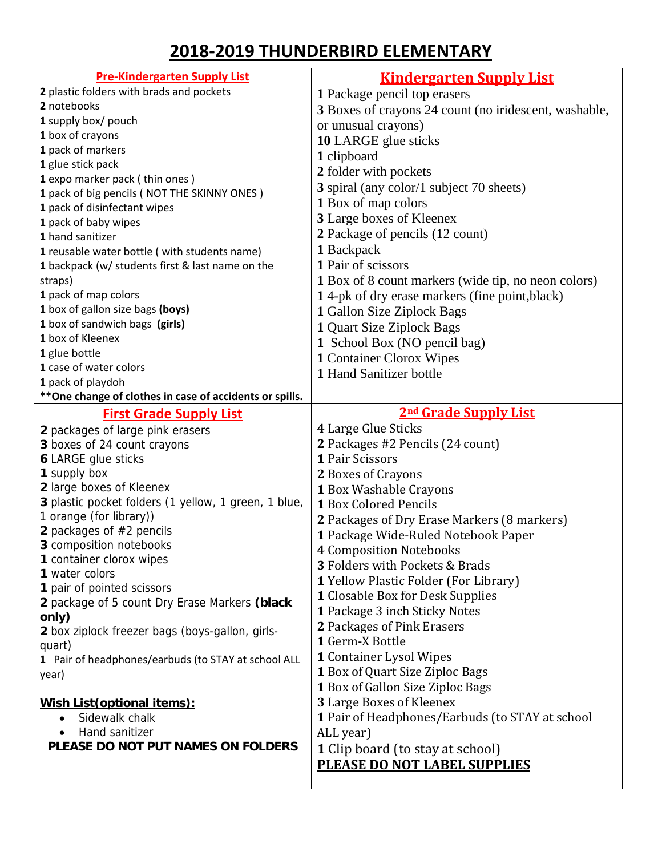## **‐2019 THUNDERBIRD ELEMENTARY**

| <b>Pre-Kindergarten Supply List</b>                      | <b>Kindergarten Supply List</b>                       |
|----------------------------------------------------------|-------------------------------------------------------|
| 2 plastic folders with brads and pockets                 | 1 Package pencil top erasers                          |
| 2 notebooks                                              | 3 Boxes of crayons 24 count (no iridescent, washable, |
| 1 supply box/ pouch                                      | or unusual crayons)                                   |
| 1 box of crayons                                         | 10 LARGE glue sticks                                  |
| 1 pack of markers                                        | 1 clipboard                                           |
| 1 glue stick pack                                        | 2 folder with pockets                                 |
| 1 expo marker pack (thin ones)                           |                                                       |
| 1 pack of big pencils (NOT THE SKINNY ONES)              | 3 spiral (any color/1 subject 70 sheets)              |
| 1 pack of disinfectant wipes                             | 1 Box of map colors                                   |
| 1 pack of baby wipes                                     | 3 Large boxes of Kleenex                              |
| 1 hand sanitizer                                         | 2 Package of pencils (12 count)                       |
| 1 reusable water bottle (with students name)             | 1 Backpack                                            |
| 1 backpack (w/ students first & last name on the         | 1 Pair of scissors                                    |
| straps)                                                  | 1 Box of 8 count markers (wide tip, no neon colors)   |
| 1 pack of map colors                                     | 14-pk of dry erase markers (fine point, black)        |
| 1 box of gallon size bags (boys)                         | 1 Gallon Size Ziplock Bags                            |
| 1 box of sandwich bags (girls)                           | 1 Quart Size Ziplock Bags                             |
| 1 box of Kleenex                                         | 1 School Box (NO pencil bag)                          |
| 1 glue bottle                                            | 1 Container Clorox Wipes                              |
| 1 case of water colors                                   | 1 Hand Sanitizer bottle                               |
| 1 pack of playdoh                                        |                                                       |
| ** One change of clothes in case of accidents or spills. |                                                       |
| <b>First Grade Supply List</b>                           | 2 <sup>nd</sup> Grade Supply List                     |
| 2 packages of large pink erasers                         | 4 Large Glue Sticks                                   |
| 3 boxes of 24 count crayons                              | 2 Packages #2 Pencils (24 count)                      |
| <b>6 LARGE glue sticks</b>                               | 1 Pair Scissors                                       |
| 1 supply box                                             | 2 Boxes of Crayons                                    |
| 2 large boxes of Kleenex                                 | 1 Box Washable Crayons                                |
| 3 plastic pocket folders (1 yellow, 1 green, 1 blue,     | 1 Box Colored Pencils                                 |
| 1 orange (for library))                                  | 2 Packages of Dry Erase Markers (8 markers)           |
| 2 packages of $#2$ pencils                               | 1 Package Wide-Ruled Notebook Paper                   |
| 3 composition notebooks                                  | <b>4 Composition Notebooks</b>                        |
| 1 container clorox wipes                                 | <b>3 Folders with Pockets &amp; Brads</b>             |
| 1 water colors                                           | 1 Yellow Plastic Folder (For Library)                 |
| 1 pair of pointed scissors                               | <b>1</b> Closable Box for Desk Supplies               |
| 2 package of 5 count Dry Erase Markers (black            | 1 Package 3 inch Sticky Notes                         |
| only)                                                    | 2 Packages of Pink Erasers                            |
| 2 box ziplock freezer bags (boys-gallon, girls-          | 1 Germ-X Bottle                                       |
| quart)                                                   | <b>1 Container Lysol Wipes</b>                        |
| 1 Pair of headphones/earbuds (to STAY at school ALL      | 1 Box of Quart Size Ziploc Bags                       |
| year)                                                    |                                                       |
|                                                          | 1 Box of Gallon Size Ziploc Bags                      |
| Wish List (optional items):                              | 3 Large Boxes of Kleenex                              |
| Sidewalk chalk<br>$\bullet$                              | 1 Pair of Headphones/Earbuds (to STAY at school       |
| Hand sanitizer                                           | ALL year)                                             |
| PLEASE DO NOT PUT NAMES ON FOLDERS                       | <b>1</b> Clip board (to stay at school)               |
|                                                          | <b>PLEASE DO NOT LABEL SUPPLIES</b>                   |
|                                                          |                                                       |